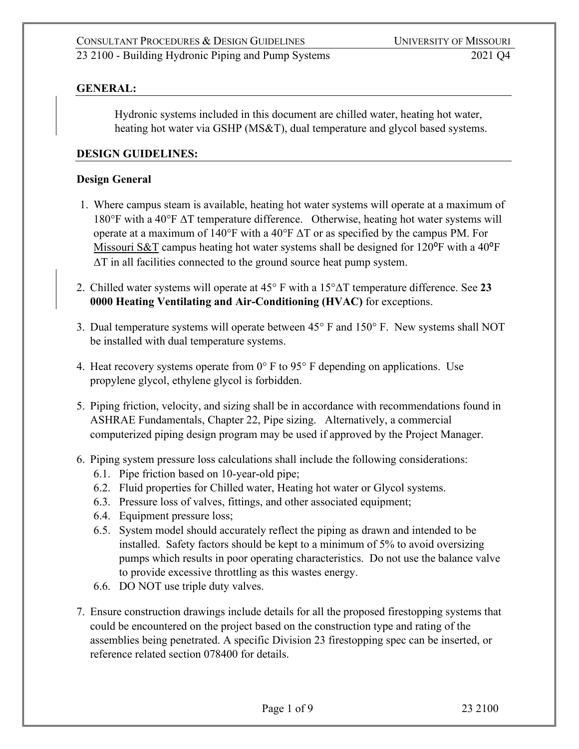### **GENERAL:**

Hydronic systems included in this document are chilled water, heating hot water, heating hot water via GSHP (MS&T), dual temperature and glycol based systems.

### **DESIGN GUIDELINES:**

#### **Design General**

- 1. Where campus steam is available, heating hot water systems will operate at a maximum of  $180^{\circ}$ F with a 40°F  $\Delta T$  temperature difference. Otherwise, heating hot water systems will operate at a maximum of 140°F with a 40°F  $\Delta T$  or as specified by the campus PM. For Missouri S&T campus heating hot water systems shall be designed for  $120^{\circ}$ F with a  $40^{\circ}$ F ΔT in all facilities connected to the ground source heat pump system.
- 2. Chilled water systems will operate at 45° F with a 15°ΔT temperature difference. See **23 0000 Heating Ventilating and Air-Conditioning (HVAC)** for exceptions.
- 3. Dual temperature systems will operate between 45° F and 150° F. New systems shall NOT be installed with dual temperature systems.
- 4. Heat recovery systems operate from  $0^{\circ}$  F to  $95^{\circ}$  F depending on applications. Use propylene glycol, ethylene glycol is forbidden.
- 5. Piping friction, velocity, and sizing shall be in accordance with recommendations found in ASHRAE Fundamentals, Chapter 22, Pipe sizing. Alternatively, a commercial computerized piping design program may be used if approved by the Project Manager.
- 6. Piping system pressure loss calculations shall include the following considerations:
	- 6.1. Pipe friction based on 10-year-old pipe;
	- 6.2. Fluid properties for Chilled water, Heating hot water or Glycol systems.
	- 6.3. Pressure loss of valves, fittings, and other associated equipment;
	- 6.4. Equipment pressure loss;
	- 6.5. System model should accurately reflect the piping as drawn and intended to be installed. Safety factors should be kept to a minimum of 5% to avoid oversizing pumps which results in poor operating characteristics. Do not use the balance valve to provide excessive throttling as this wastes energy.
	- 6.6. DO NOT use triple duty valves.
- 7. Ensure construction drawings include details for all the proposed firestopping systems that could be encountered on the project based on the construction type and rating of the assemblies being penetrated. A specific Division 23 firestopping spec can be inserted, or reference related section 078400 for details.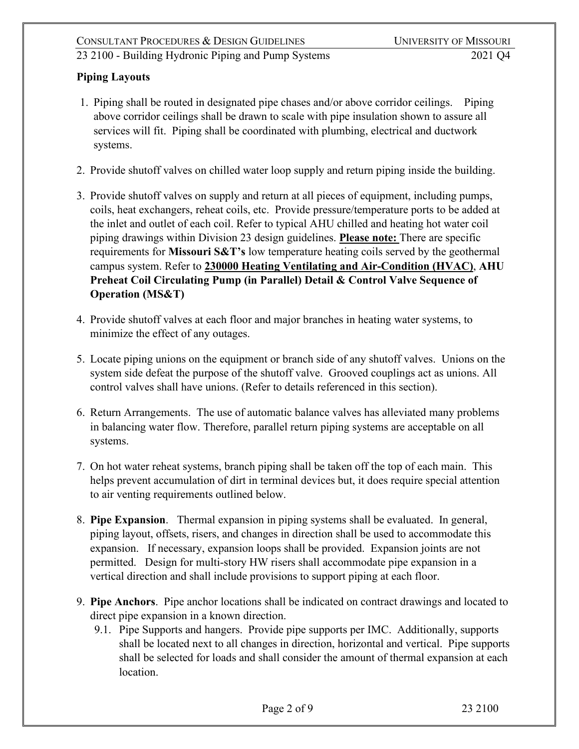### **Piping Layouts**

- 1. Piping shall be routed in designated pipe chases and/or above corridor ceilings. Piping above corridor ceilings shall be drawn to scale with pipe insulation shown to assure all services will fit. Piping shall be coordinated with plumbing, electrical and ductwork systems.
- 2. Provide shutoff valves on chilled water loop supply and return piping inside the building.
- 3. Provide shutoff valves on supply and return at all pieces of equipment, including pumps, coils, heat exchangers, reheat coils, etc. Provide pressure/temperature ports to be added at the inlet and outlet of each coil. Refer to typical AHU chilled and heating hot water coil piping drawings within Division 23 design guidelines. **Please note:** There are specific requirements for **Missouri S&T's** low temperature heating coils served by the geothermal campus system. Refer to **230000 Heating Ventilating and Air-Condition (HVAC)**, **AHU Preheat Coil Circulating Pump (in Parallel) Detail & Control Valve Sequence of Operation (MS&T)**
- 4. Provide shutoff valves at each floor and major branches in heating water systems, to minimize the effect of any outages.
- 5. Locate piping unions on the equipment or branch side of any shutoff valves. Unions on the system side defeat the purpose of the shutoff valve. Grooved couplings act as unions. All control valves shall have unions. (Refer to details referenced in this section).
- 6. Return Arrangements. The use of automatic balance valves has alleviated many problems in balancing water flow. Therefore, parallel return piping systems are acceptable on all systems.
- 7. On hot water reheat systems, branch piping shall be taken off the top of each main. This helps prevent accumulation of dirt in terminal devices but, it does require special attention to air venting requirements outlined below.
- 8. **Pipe Expansion**. Thermal expansion in piping systems shall be evaluated. In general, piping layout, offsets, risers, and changes in direction shall be used to accommodate this expansion. If necessary, expansion loops shall be provided. Expansion joints are not permitted. Design for multi-story HW risers shall accommodate pipe expansion in a vertical direction and shall include provisions to support piping at each floor.
- 9. **Pipe Anchors**. Pipe anchor locations shall be indicated on contract drawings and located to direct pipe expansion in a known direction.
	- 9.1. Pipe Supports and hangers. Provide pipe supports per IMC. Additionally, supports shall be located next to all changes in direction, horizontal and vertical. Pipe supports shall be selected for loads and shall consider the amount of thermal expansion at each location.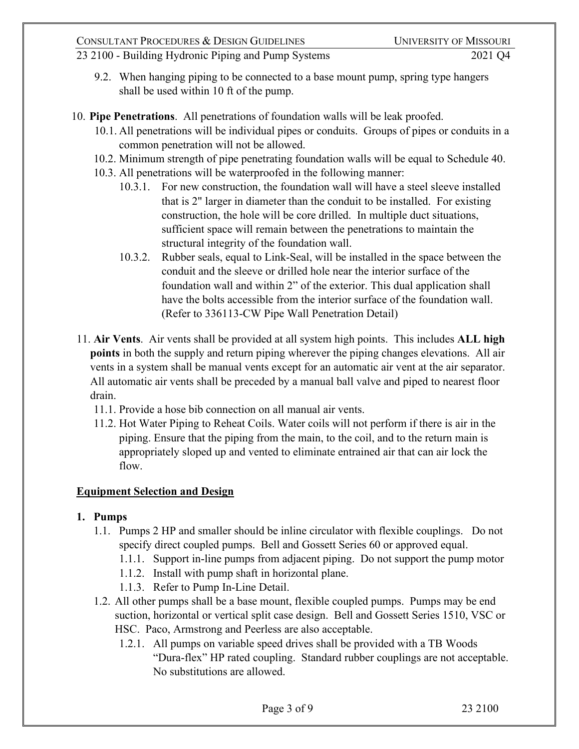- 23 2100 Building Hydronic Piping and Pump Systems 2021 Q4
	- 9.2. When hanging piping to be connected to a base mount pump, spring type hangers shall be used within 10 ft of the pump.
- 10. **Pipe Penetrations**. All penetrations of foundation walls will be leak proofed.
	- 10.1. All penetrations will be individual pipes or conduits. Groups of pipes or conduits in a common penetration will not be allowed.
	- 10.2. Minimum strength of pipe penetrating foundation walls will be equal to Schedule 40.
	- 10.3. All penetrations will be waterproofed in the following manner:
		- 10.3.1. For new construction, the foundation wall will have a steel sleeve installed that is 2" larger in diameter than the conduit to be installed. For existing construction, the hole will be core drilled. In multiple duct situations, sufficient space will remain between the penetrations to maintain the structural integrity of the foundation wall.
		- 10.3.2. Rubber seals, equal to Link-Seal, will be installed in the space between the conduit and the sleeve or drilled hole near the interior surface of the foundation wall and within 2" of the exterior. This dual application shall have the bolts accessible from the interior surface of the foundation wall. (Refer to 336113-CW Pipe Wall Penetration Detail)
	- 11. **Air Vents**. Air vents shall be provided at all system high points. This includes **ALL high points** in both the supply and return piping wherever the piping changes elevations. All air vents in a system shall be manual vents except for an automatic air vent at the air separator. All automatic air vents shall be preceded by a manual ball valve and piped to nearest floor drain.
		- 11.1. Provide a hose bib connection on all manual air vents.
		- 11.2. Hot Water Piping to Reheat Coils. Water coils will not perform if there is air in the piping. Ensure that the piping from the main, to the coil, and to the return main is appropriately sloped up and vented to eliminate entrained air that can air lock the flow.

# **Equipment Selection and Design**

## **1. Pumps**

- 1.1. Pumps 2 HP and smaller should be inline circulator with flexible couplings. Do not specify direct coupled pumps. Bell and Gossett Series 60 or approved equal.
	- 1.1.1. Support in-line pumps from adjacent piping. Do not support the pump motor
	- 1.1.2. Install with pump shaft in horizontal plane.
	- 1.1.3. Refer to Pump In-Line Detail.
- 1.2. All other pumps shall be a base mount, flexible coupled pumps. Pumps may be end suction, horizontal or vertical split case design. Bell and Gossett Series 1510, VSC or HSC. Paco, Armstrong and Peerless are also acceptable.
	- 1.2.1. All pumps on variable speed drives shall be provided with a TB Woods "Dura-flex" HP rated coupling. Standard rubber couplings are not acceptable. No substitutions are allowed.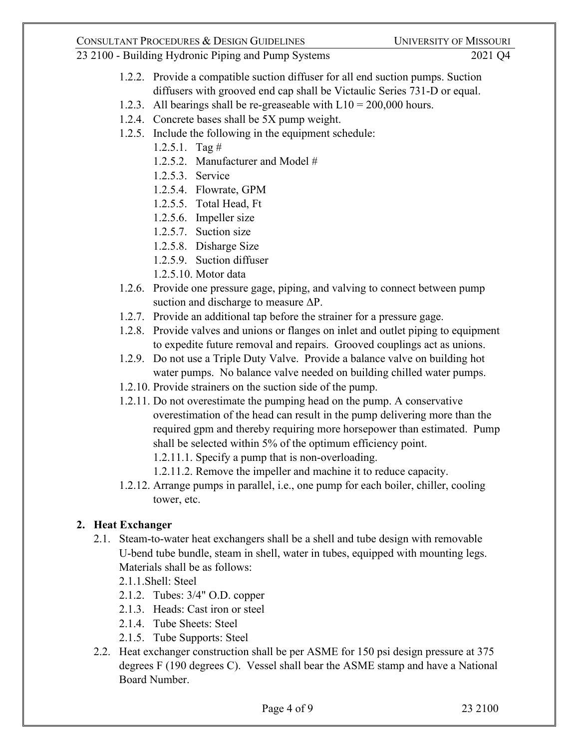### CONSULTANT PROCEDURES & DESIGN GUIDELINES UNIVERSITY OF MISSOURI

### 23 2100 - Building Hydronic Piping and Pump Systems 2021 Q4

- 1.2.2. Provide a compatible suction diffuser for all end suction pumps. Suction diffusers with grooved end cap shall be Victaulic Series 731-D or equal.
- 1.2.3. All bearings shall be re-greaseable with  $L10 = 200,000$  hours.
- 1.2.4. Concrete bases shall be 5X pump weight.
- 1.2.5. Include the following in the equipment schedule:
	- 1.2.5.1. Tag #
	- 1.2.5.2. Manufacturer and Model #
	- 1.2.5.3. Service
	- 1.2.5.4. Flowrate, GPM
	- 1.2.5.5. Total Head, Ft
	- 1.2.5.6. Impeller size
	- 1.2.5.7. Suction size
	- 1.2.5.8. Disharge Size
	- 1.2.5.9. Suction diffuser
	- 1.2.5.10. Motor data
- 1.2.6. Provide one pressure gage, piping, and valving to connect between pump suction and discharge to measure  $\Delta P$ .
- 1.2.7. Provide an additional tap before the strainer for a pressure gage.
- 1.2.8. Provide valves and unions or flanges on inlet and outlet piping to equipment to expedite future removal and repairs. Grooved couplings act as unions.
- 1.2.9. Do not use a Triple Duty Valve. Provide a balance valve on building hot water pumps. No balance valve needed on building chilled water pumps.
- 1.2.10. Provide strainers on the suction side of the pump.
- 1.2.11. Do not overestimate the pumping head on the pump. A conservative overestimation of the head can result in the pump delivering more than the required gpm and thereby requiring more horsepower than estimated. Pump shall be selected within 5% of the optimum efficiency point.
	- 1.2.11.1. Specify a pump that is non-overloading.
	- 1.2.11.2. Remove the impeller and machine it to reduce capacity.
- 1.2.12. Arrange pumps in parallel, i.e., one pump for each boiler, chiller, cooling tower, etc.

# **2. Heat Exchanger**

- 2.1. Steam-to-water heat exchangers shall be a shell and tube design with removable U-bend tube bundle, steam in shell, water in tubes, equipped with mounting legs. Materials shall be as follows:
	- 2.1.1.Shell: Steel
	- 2.1.2. Tubes: 3/4" O.D. copper
	- 2.1.3. Heads: Cast iron or steel
	- 2.1.4. Tube Sheets: Steel
	- 2.1.5. Tube Supports: Steel
- 2.2. Heat exchanger construction shall be per ASME for 150 psi design pressure at 375 degrees F (190 degrees C). Vessel shall bear the ASME stamp and have a National Board Number.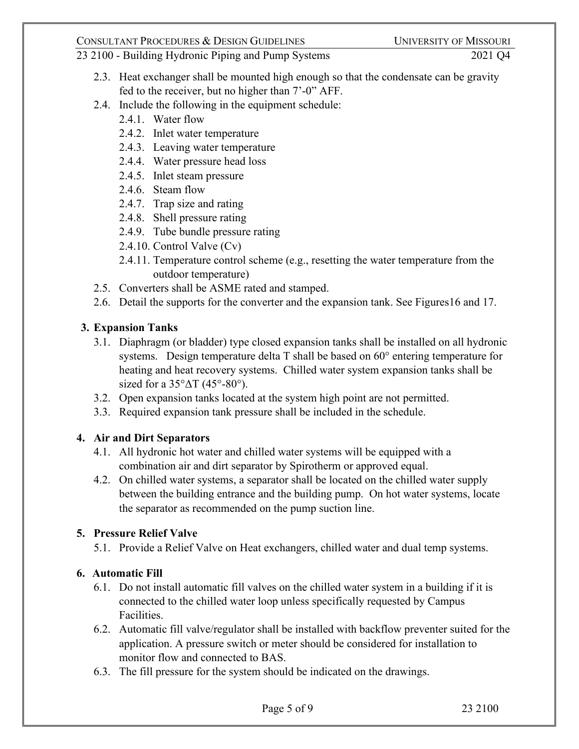- 2.3. Heat exchanger shall be mounted high enough so that the condensate can be gravity fed to the receiver, but no higher than 7'-0" AFF.
- 2.4. Include the following in the equipment schedule:
	- 2.4.1. Water flow
	- 2.4.2. Inlet water temperature
	- 2.4.3. Leaving water temperature
	- 2.4.4. Water pressure head loss
	- 2.4.5. Inlet steam pressure
	- 2.4.6. Steam flow
	- 2.4.7. Trap size and rating
	- 2.4.8. Shell pressure rating
	- 2.4.9. Tube bundle pressure rating
	- 2.4.10. Control Valve (Cv)
	- 2.4.11. Temperature control scheme (e.g., resetting the water temperature from the outdoor temperature)
- 2.5. Converters shall be ASME rated and stamped.
- 2.6. Detail the supports for the converter and the expansion tank. See Figures16 and 17.

# **3. Expansion Tanks**

- 3.1. Diaphragm (or bladder) type closed expansion tanks shall be installed on all hydronic systems. Design temperature delta T shall be based on 60° entering temperature for heating and heat recovery systems. Chilled water system expansion tanks shall be sized for a  $35^{\circ} \Delta T$  (45°-80°).
- 3.2. Open expansion tanks located at the system high point are not permitted.
- 3.3. Required expansion tank pressure shall be included in the schedule.

# **4. Air and Dirt Separators**

- 4.1. All hydronic hot water and chilled water systems will be equipped with a combination air and dirt separator by Spirotherm or approved equal.
- 4.2. On chilled water systems, a separator shall be located on the chilled water supply between the building entrance and the building pump. On hot water systems, locate the separator as recommended on the pump suction line.

# **5. Pressure Relief Valve**

5.1. Provide a Relief Valve on Heat exchangers, chilled water and dual temp systems.

# **6. Automatic Fill**

- 6.1. Do not install automatic fill valves on the chilled water system in a building if it is connected to the chilled water loop unless specifically requested by Campus Facilities.
- 6.2. Automatic fill valve/regulator shall be installed with backflow preventer suited for the application. A pressure switch or meter should be considered for installation to monitor flow and connected to BAS.
- 6.3. The fill pressure for the system should be indicated on the drawings.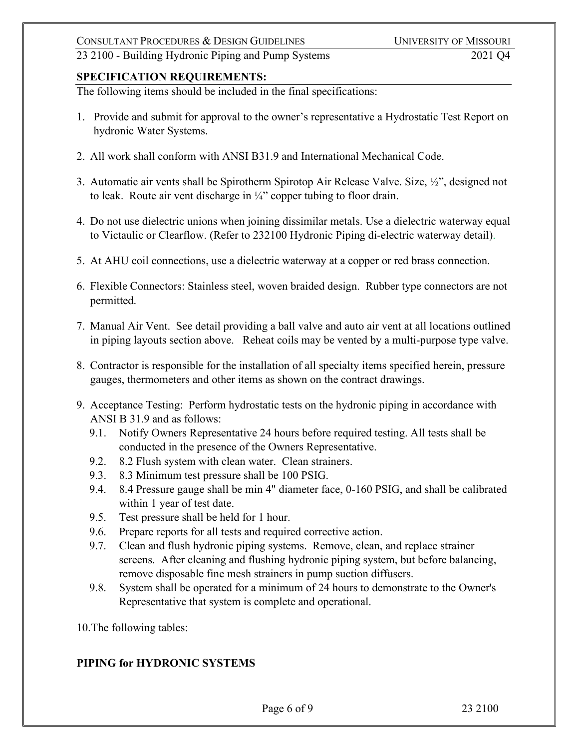### **SPECIFICATION REQUIREMENTS:**

The following items should be included in the final specifications:

- 1. Provide and submit for approval to the owner's representative a Hydrostatic Test Report on hydronic Water Systems.
- 2. All work shall conform with ANSI B31.9 and International Mechanical Code.
- 3. Automatic air vents shall be Spirotherm Spirotop Air Release Valve. Size, ½", designed not to leak. Route air vent discharge in  $\frac{1}{4}$ " copper tubing to floor drain.
- 4. Do not use dielectric unions when joining dissimilar metals. Use a dielectric waterway equal to Victaulic or Clearflow. (Refer to 232100 Hydronic Piping di-electric waterway detail).
- 5. At AHU coil connections, use a dielectric waterway at a copper or red brass connection.
- 6. Flexible Connectors: Stainless steel, woven braided design. Rubber type connectors are not permitted.
- 7. Manual Air Vent. See detail providing a ball valve and auto air vent at all locations outlined in piping layouts section above. Reheat coils may be vented by a multi-purpose type valve.
- 8. Contractor is responsible for the installation of all specialty items specified herein, pressure gauges, thermometers and other items as shown on the contract drawings.
- 9. Acceptance Testing: Perform hydrostatic tests on the hydronic piping in accordance with ANSI B 31.9 and as follows:
	- 9.1. Notify Owners Representative 24 hours before required testing. All tests shall be conducted in the presence of the Owners Representative.
	- 9.2. 8.2 Flush system with clean water. Clean strainers.
	- 9.3. 8.3 Minimum test pressure shall be 100 PSIG.
	- 9.4. 8.4 Pressure gauge shall be min 4" diameter face, 0-160 PSIG, and shall be calibrated within 1 year of test date.
	- 9.5. Test pressure shall be held for 1 hour.
	- 9.6. Prepare reports for all tests and required corrective action.
	- 9.7. Clean and flush hydronic piping systems. Remove, clean, and replace strainer screens. After cleaning and flushing hydronic piping system, but before balancing, remove disposable fine mesh strainers in pump suction diffusers.
	- 9.8. System shall be operated for a minimum of 24 hours to demonstrate to the Owner's Representative that system is complete and operational.

10.The following tables:

## **PIPING for HYDRONIC SYSTEMS**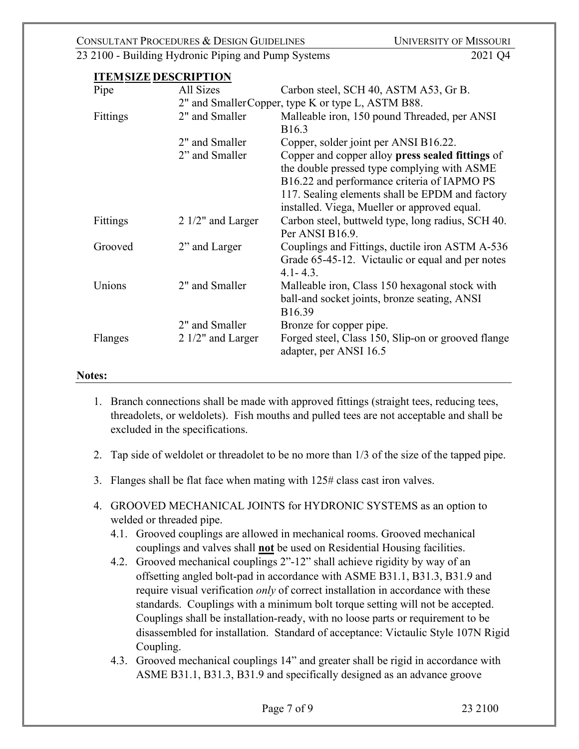#### **ITEMSIZE DESCRIPTION**

| Pipe     | All Sizes                                          | Carbon steel, SCH 40, ASTM A53, Gr B.              |  |
|----------|----------------------------------------------------|----------------------------------------------------|--|
|          | 2" and Smaller Copper, type K or type L, ASTM B88. |                                                    |  |
| Fittings | 2" and Smaller                                     | Malleable iron, 150 pound Threaded, per ANSI       |  |
|          |                                                    | B <sub>16.3</sub>                                  |  |
|          | 2" and Smaller                                     | Copper, solder joint per ANSI B16.22.              |  |
|          | 2" and Smaller                                     | Copper and copper alloy press sealed fittings of   |  |
|          |                                                    | the double pressed type complying with ASME        |  |
|          |                                                    | B16.22 and performance criteria of IAPMO PS        |  |
|          |                                                    | 117. Sealing elements shall be EPDM and factory    |  |
|          |                                                    | installed. Viega, Mueller or approved equal.       |  |
| Fittings | $2 \frac{1}{2}$ and Larger                         | Carbon steel, buttweld type, long radius, SCH 40.  |  |
|          |                                                    | Per ANSI B16.9.                                    |  |
| Grooved  | 2" and Larger                                      | Couplings and Fittings, ductile iron ASTM A-536    |  |
|          |                                                    | Grade 65-45-12. Victaulic or equal and per notes   |  |
|          |                                                    | $4.1 - 4.3.$                                       |  |
| Unions   | 2" and Smaller                                     | Malleable iron, Class 150 hexagonal stock with     |  |
|          |                                                    | ball-and socket joints, bronze seating, ANSI       |  |
|          |                                                    | B16.39                                             |  |
|          | 2" and Smaller                                     | Bronze for copper pipe.                            |  |
| Flanges  | $2 \frac{1}{2}$ and Larger                         | Forged steel, Class 150, Slip-on or grooved flange |  |
|          |                                                    | adapter, per ANSI 16.5                             |  |
|          |                                                    |                                                    |  |

#### **Notes:**

- 1. Branch connections shall be made with approved fittings (straight tees, reducing tees, threadolets, or weldolets). Fish mouths and pulled tees are not acceptable and shall be excluded in the specifications.
- 2. Tap side of weldolet or threadolet to be no more than 1/3 of the size of the tapped pipe.
- 3. Flanges shall be flat face when mating with 125# class cast iron valves.
- 4. GROOVED MECHANICAL JOINTS for HYDRONIC SYSTEMS as an option to welded or threaded pipe.
	- 4.1. Grooved couplings are allowed in mechanical rooms. Grooved mechanical couplings and valves shall **not** be used on Residential Housing facilities.
	- 4.2. Grooved mechanical couplings 2"-12" shall achieve rigidity by way of an offsetting angled bolt-pad in accordance with ASME B31.1, B31.3, B31.9 and require visual verification *only* of correct installation in accordance with these standards. Couplings with a minimum bolt torque setting will not be accepted. Couplings shall be installation-ready, with no loose parts or requirement to be disassembled for installation. Standard of acceptance: Victaulic Style 107N Rigid Coupling.
	- 4.3. Grooved mechanical couplings 14" and greater shall be rigid in accordance with ASME B31.1, B31.3, B31.9 and specifically designed as an advance groove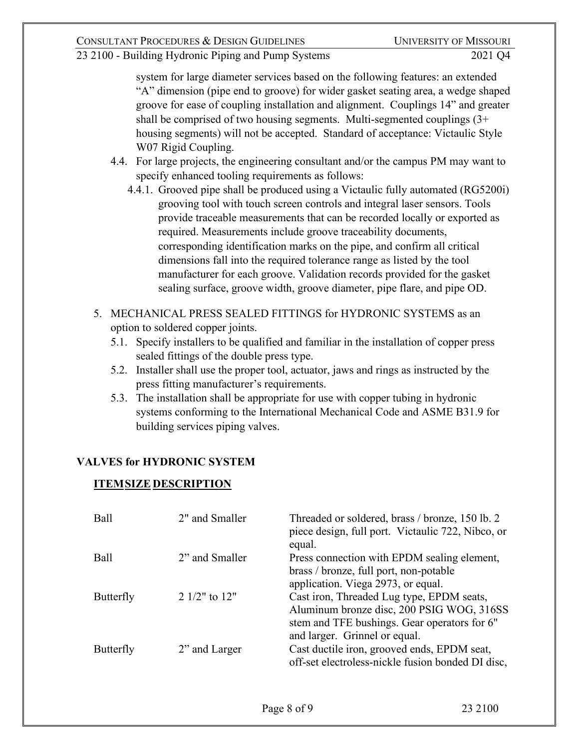system for large diameter services based on the following features: an extended "A" dimension (pipe end to groove) for wider gasket seating area, a wedge shaped groove for ease of coupling installation and alignment. Couplings 14" and greater shall be comprised of two housing segments. Multi-segmented couplings (3+ housing segments) will not be accepted. Standard of acceptance: Victaulic Style W07 Rigid Coupling.

- 4.4. For large projects, the engineering consultant and/or the campus PM may want to specify enhanced tooling requirements as follows:
	- 4.4.1. Grooved pipe shall be produced using a Victaulic fully automated (RG5200i) grooving tool with touch screen controls and integral laser sensors. Tools provide traceable measurements that can be recorded locally or exported as required. Measurements include groove traceability documents, corresponding identification marks on the pipe, and confirm all critical dimensions fall into the required tolerance range as listed by the tool manufacturer for each groove. Validation records provided for the gasket sealing surface, groove width, groove diameter, pipe flare, and pipe OD.
- 5. MECHANICAL PRESS SEALED FITTINGS for HYDRONIC SYSTEMS as an option to soldered copper joints.
	- 5.1. Specify installers to be qualified and familiar in the installation of copper press sealed fittings of the double press type.
	- 5.2. Installer shall use the proper tool, actuator, jaws and rings as instructed by the press fitting manufacturer's requirements.
	- 5.3. The installation shall be appropriate for use with copper tubing in hydronic systems conforming to the International Mechanical Code and ASME B31.9 for building services piping valves.

## **VALVES for HYDRONIC SYSTEM**

## **ITEMSIZE DESCRIPTION**

| <b>Ball</b> | 2" and Smaller      | Threaded or soldered, brass / bronze, 150 lb. 2<br>piece design, full port. Victaulic 722, Nibco, or<br>equal. |
|-------------|---------------------|----------------------------------------------------------------------------------------------------------------|
| <b>Ball</b> | 2" and Smaller      | Press connection with EPDM sealing element,                                                                    |
|             |                     | brass / bronze, full port, non-potable<br>application. Viega 2973, or equal.                                   |
| Butterfly   | 2 $1/2$ " to $12$ " | Cast iron, Threaded Lug type, EPDM seats,                                                                      |
|             |                     | Aluminum bronze disc, 200 PSIG WOG, 316SS                                                                      |
|             |                     | stem and TFE bushings. Gear operators for 6"                                                                   |
|             |                     | and larger. Grinnel or equal.                                                                                  |
| Butterfly   | 2" and Larger       | Cast ductile iron, grooved ends, EPDM seat,                                                                    |
|             |                     | off-set electroless-nickle fusion bonded DI disc,                                                              |